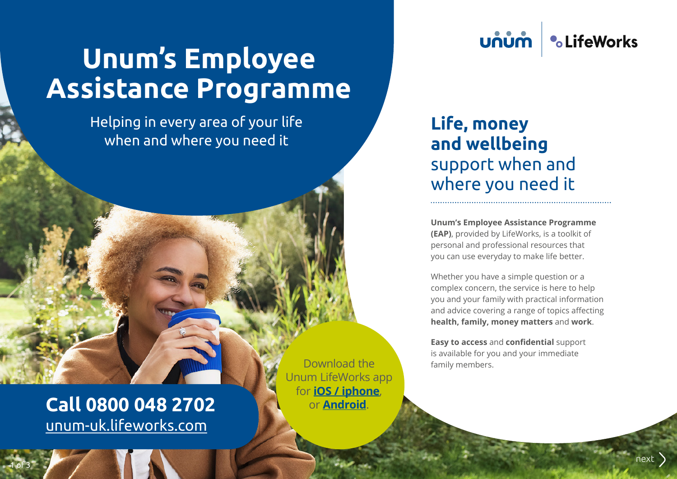# **Unum's Employee Assistance Programme**

Helping in every area of your life when and where you need it

### **•CLifeWorks บกบท**

# **Life, money and wellbeing**  support when and where you need it

**Unum's Employee Assistance Programme (EAP)**, provided by LifeWorks, is a toolkit of personal and professional resources that you can use everyday to make life better.

Whether you have a simple question or a complex concern, the service is here to help you and your family with practical information and advice covering a range of topics affecting **health, family, money matters** and **work**.

**Easy to access** and **confidential** support is available for you and your immediate family members.

**Call 0800 048 2702** [unum-uk.lifeworks.com](https://unum-uk.lifeworks.com/)

1 of 3

Download the Unum LifeWorks app for **[iOS / iphone](https://itunes.apple.com/gb/app/workangel/id662088737)**, or **[Android](https://play.google.com/store/apps/details?id=com.wam.android)**.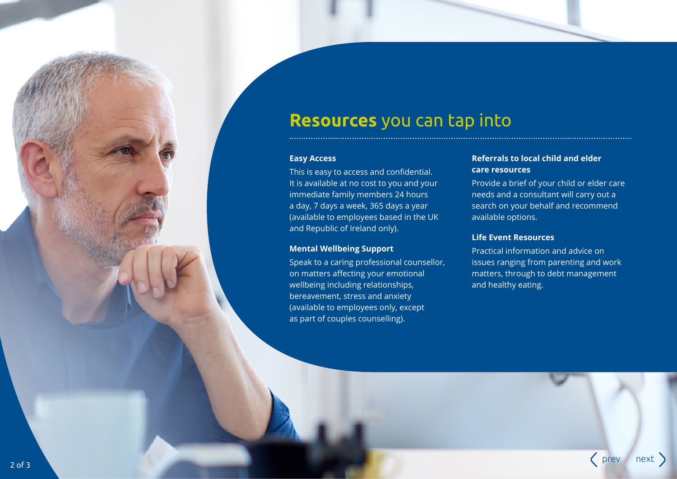### **Resources** you can tap into

#### **Easy Access**

This is easy to access and confidential. It is available at no cost to you and your immediate family members 24 hours a day, 7 days a week, 365 days a year (available to employees based in the UK and Republic of Ireland only).

#### **Mental Wellbeing Support**

Speak to a caring professional counsellor, on matters affecting your emotional wellbeing including relationships, bereavement, stress and anxiety (available to employees only, except as part of couples counselling).

#### **Referrals to local child and elder care resources**

Provide a brief of your child or elder care needs and a consultant will carry out a search on your behalf and recommend available options.

#### **Life Event Resources**

Practical information and advice on issues ranging from parenting and work matters, through to debt management and healthy eating.